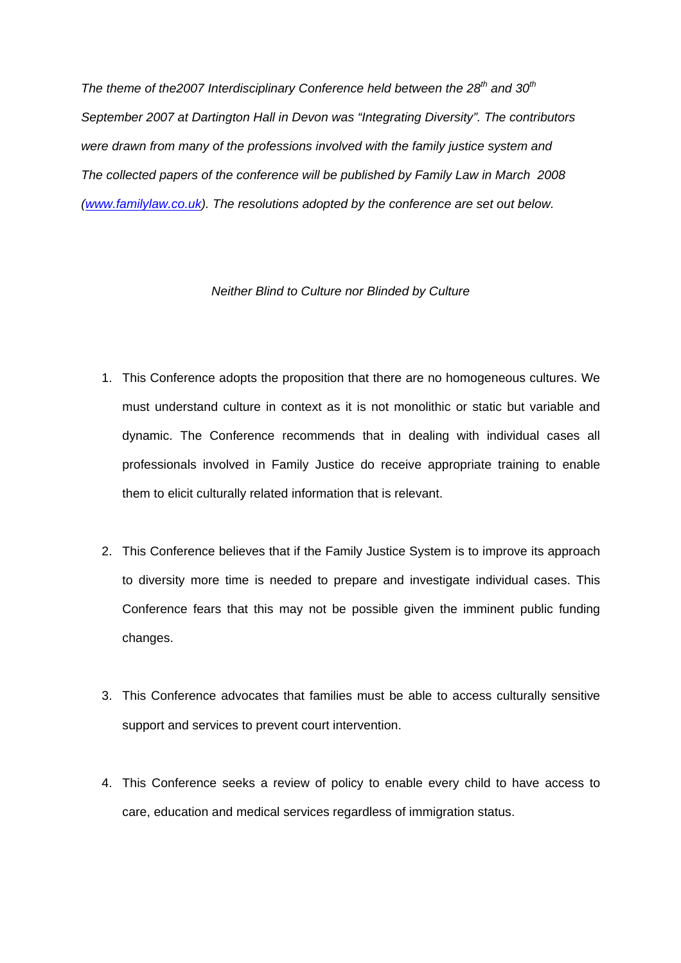*The theme of the2007 Interdisciplinary Conference held between the 28th and 30th September 2007 at Dartington Hall in Devon was "Integrating Diversity". The contributors were drawn from many of the professions involved with the family justice system and The collected papers of the conference will be published by Family Law in March 2008 ([www.familylaw.co.uk](http://www.familylaw.co.uk/)). The resolutions adopted by the conference are set out below.* 

## *Neither Blind to Culture nor Blinded by Culture*

- 1. This Conference adopts the proposition that there are no homogeneous cultures. We must understand culture in context as it is not monolithic or static but variable and dynamic. The Conference recommends that in dealing with individual cases all professionals involved in Family Justice do receive appropriate training to enable them to elicit culturally related information that is relevant.
- 2. This Conference believes that if the Family Justice System is to improve its approach to diversity more time is needed to prepare and investigate individual cases. This Conference fears that this may not be possible given the imminent public funding changes.
- 3. This Conference advocates that families must be able to access culturally sensitive support and services to prevent court intervention.
- 4. This Conference seeks a review of policy to enable every child to have access to care, education and medical services regardless of immigration status.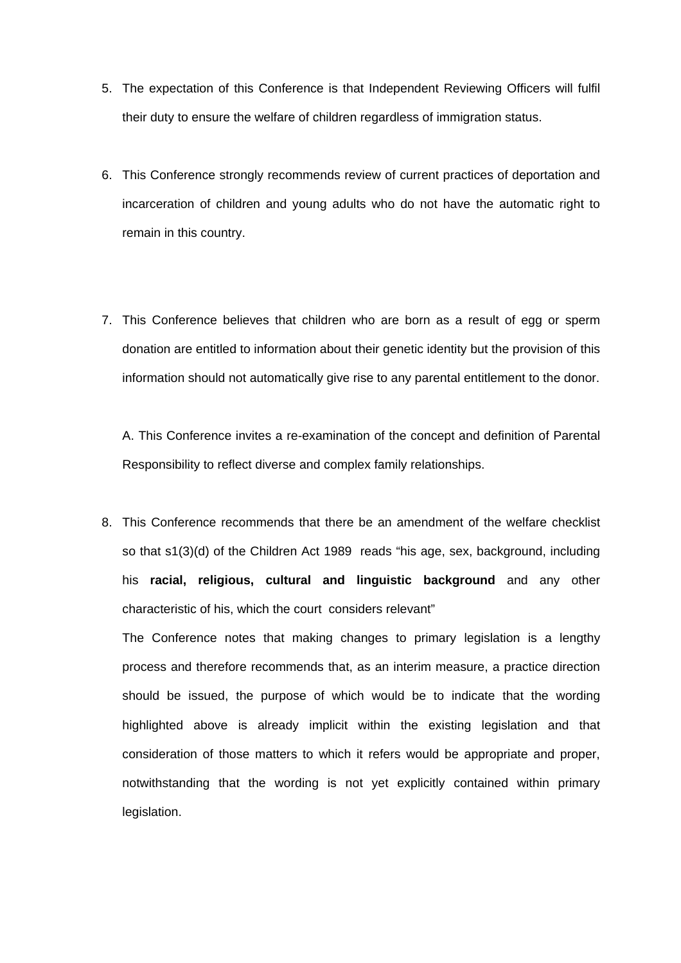- 5. The expectation of this Conference is that Independent Reviewing Officers will fulfil their duty to ensure the welfare of children regardless of immigration status.
- 6. This Conference strongly recommends review of current practices of deportation and incarceration of children and young adults who do not have the automatic right to remain in this country.
- 7. This Conference believes that children who are born as a result of egg or sperm donation are entitled to information about their genetic identity but the provision of this information should not automatically give rise to any parental entitlement to the donor.

A. This Conference invites a re-examination of the concept and definition of Parental Responsibility to reflect diverse and complex family relationships.

8. This Conference recommends that there be an amendment of the welfare checklist so that s1(3)(d) of the Children Act 1989 reads "his age, sex, background, including his **racial, religious, cultural and linguistic background** and any other characteristic of his, which the court considers relevant"

The Conference notes that making changes to primary legislation is a lengthy process and therefore recommends that, as an interim measure, a practice direction should be issued, the purpose of which would be to indicate that the wording highlighted above is already implicit within the existing legislation and that consideration of those matters to which it refers would be appropriate and proper, notwithstanding that the wording is not yet explicitly contained within primary legislation.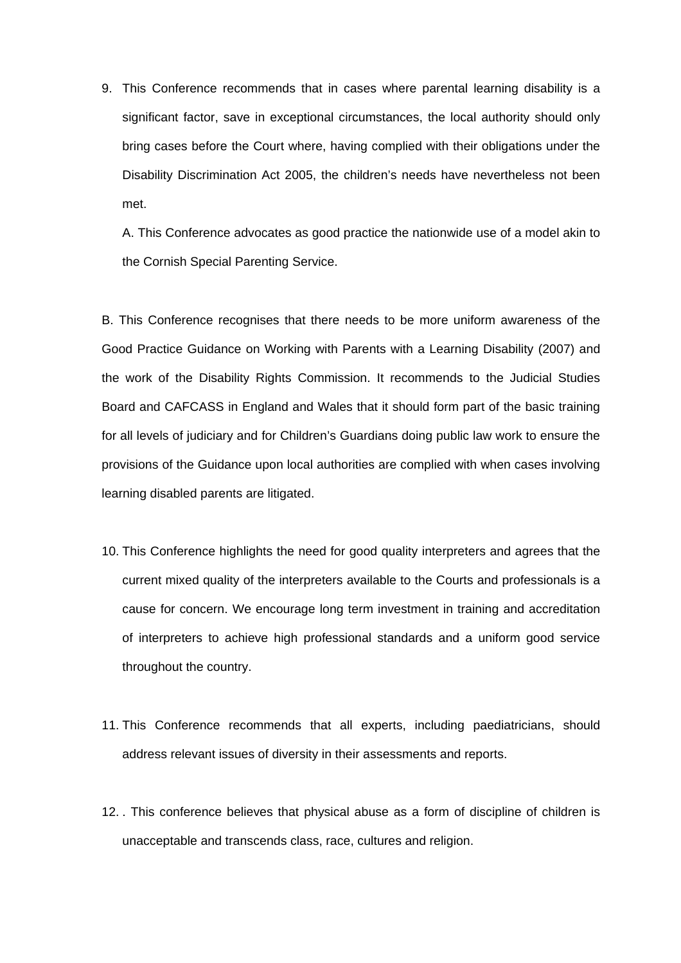9. This Conference recommends that in cases where parental learning disability is a significant factor, save in exceptional circumstances, the local authority should only bring cases before the Court where, having complied with their obligations under the Disability Discrimination Act 2005, the children's needs have nevertheless not been met.

A. This Conference advocates as good practice the nationwide use of a model akin to the Cornish Special Parenting Service.

B. This Conference recognises that there needs to be more uniform awareness of the Good Practice Guidance on Working with Parents with a Learning Disability (2007) and the work of the Disability Rights Commission. It recommends to the Judicial Studies Board and CAFCASS in England and Wales that it should form part of the basic training for all levels of judiciary and for Children's Guardians doing public law work to ensure the provisions of the Guidance upon local authorities are complied with when cases involving learning disabled parents are litigated.

- 10. This Conference highlights the need for good quality interpreters and agrees that the current mixed quality of the interpreters available to the Courts and professionals is a cause for concern. We encourage long term investment in training and accreditation of interpreters to achieve high professional standards and a uniform good service throughout the country.
- 11. This Conference recommends that all experts, including paediatricians, should address relevant issues of diversity in their assessments and reports.
- 12. . This conference believes that physical abuse as a form of discipline of children is unacceptable and transcends class, race, cultures and religion.